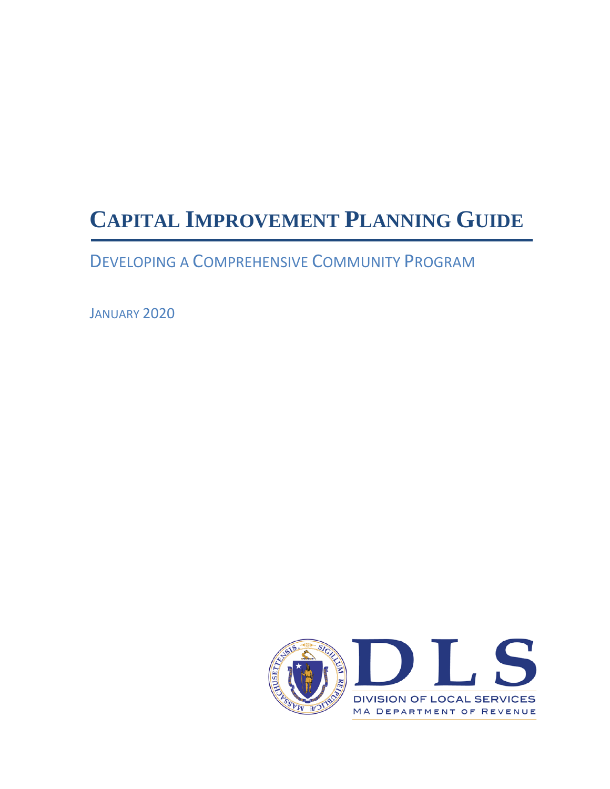# **CAPITAL IMPROVEMENT PLANNING GUIDE**

DEVELOPING A COMPREHENSIVE COMMUNITY PROGRAM

JANUARY 2020

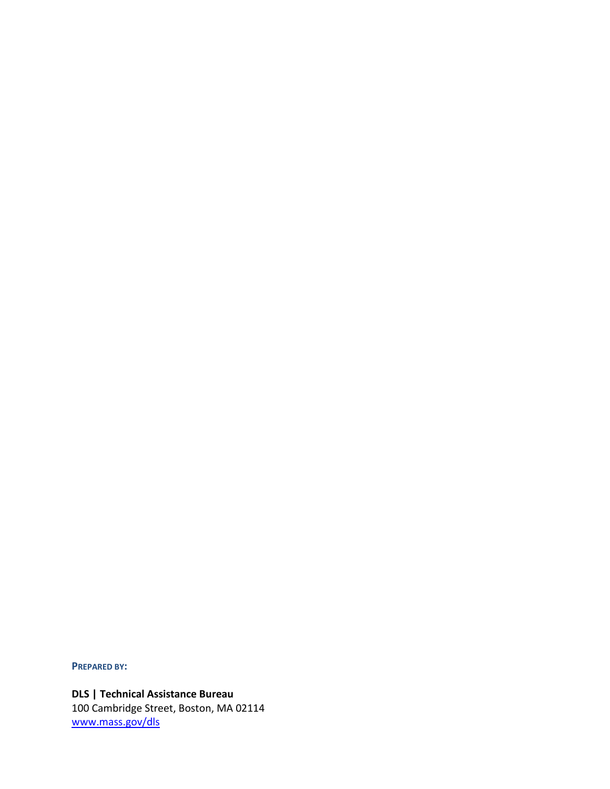**PREPARED BY:**

**DLS | Technical Assistance Bureau** 100 Cambridge Street, Boston, MA 02114 www.mass.gov/dls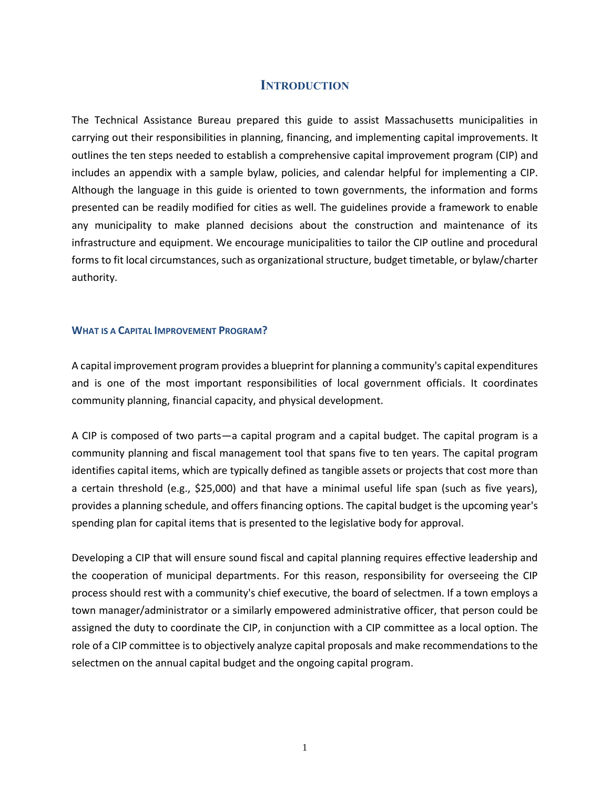## **INTRODUCTION**

The Technical Assistance Bureau prepared this guide to assist Massachusetts municipalities in carrying out their responsibilities in planning, financing, and implementing capital improvements. It outlines the ten steps needed to establish a comprehensive capital improvement program (CIP) and includes an appendix with a sample bylaw, policies, and calendar helpful for implementing a CIP. Although the language in this guide is oriented to town governments, the information and forms presented can be readily modified for cities as well. The guidelines provide a framework to enable any municipality to make planned decisions about the construction and maintenance of its infrastructure and equipment. We encourage municipalities to tailor the CIP outline and procedural forms to fit local circumstances, such as organizational structure, budget timetable, or bylaw/charter authority.

#### **WHAT IS A CAPITAL IMPROVEMENT PROGRAM?**

A capital improvement program provides a blueprint for planning a community's capital expenditures and is one of the most important responsibilities of local government officials. It coordinates community planning, financial capacity, and physical development.

A CIP is composed of two parts—a capital program and a capital budget. The capital program is a community planning and fiscal management tool that spans five to ten years. The capital program identifies capital items, which are typically defined as tangible assets or projects that cost more than a certain threshold (e.g., \$25,000) and that have a minimal useful life span (such as five years), provides a planning schedule, and offers financing options. The capital budget is the upcoming year's spending plan for capital items that is presented to the legislative body for approval.

Developing a CIP that will ensure sound fiscal and capital planning requires effective leadership and the cooperation of municipal departments. For this reason, responsibility for overseeing the CIP process should rest with a community's chief executive, the board of selectmen. If a town employs a town manager/administrator or a similarly empowered administrative officer, that person could be assigned the duty to coordinate the CIP, in conjunction with a CIP committee as a local option. The role of a CIP committee is to objectively analyze capital proposals and make recommendations to the selectmen on the annual capital budget and the ongoing capital program.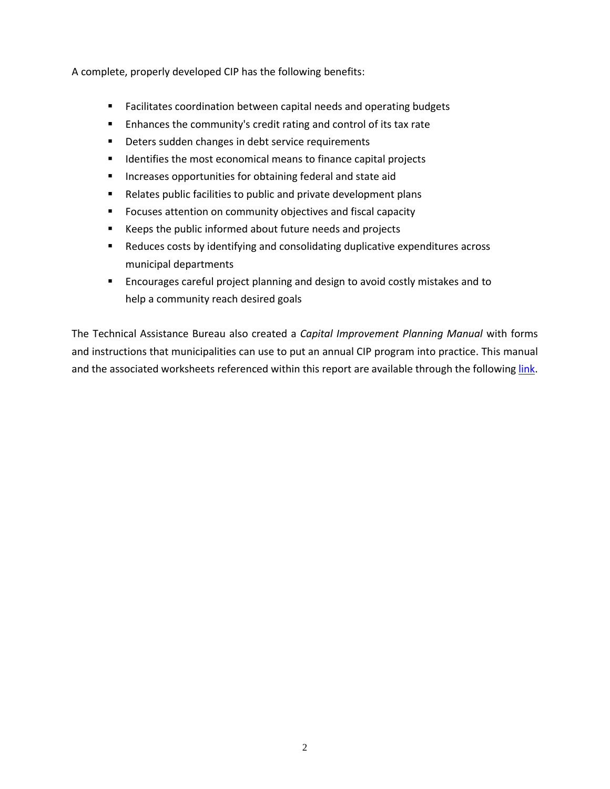A complete, properly developed CIP has the following benefits:

- Facilitates coordination between capital needs and operating budgets
- Enhances the community's credit rating and control of its tax rate
- Deters sudden changes in debt service requirements
- Identifies the most economical means to finance capital projects
- Increases opportunities for obtaining federal and state aid
- Relates public facilities to public and private development plans
- Focuses attention on community objectives and fiscal capacity
- Keeps the public informed about future needs and projects
- Reduces costs by identifying and consolidating duplicative expenditures across municipal departments
- Encourages careful project planning and design to avoid costly mistakes and to help a community reach desired goals

The Technical Assistance Bureau also created a *Capital Improvement Planning Manual* with forms and instructions that municipalities can use to put an annual CIP program into practice. This manual and the associated worksheets referenced within this report are available through the followin[g link.](http://www.mass.gov/dor/docs/dls/tab/cipmanualfinal.pdf)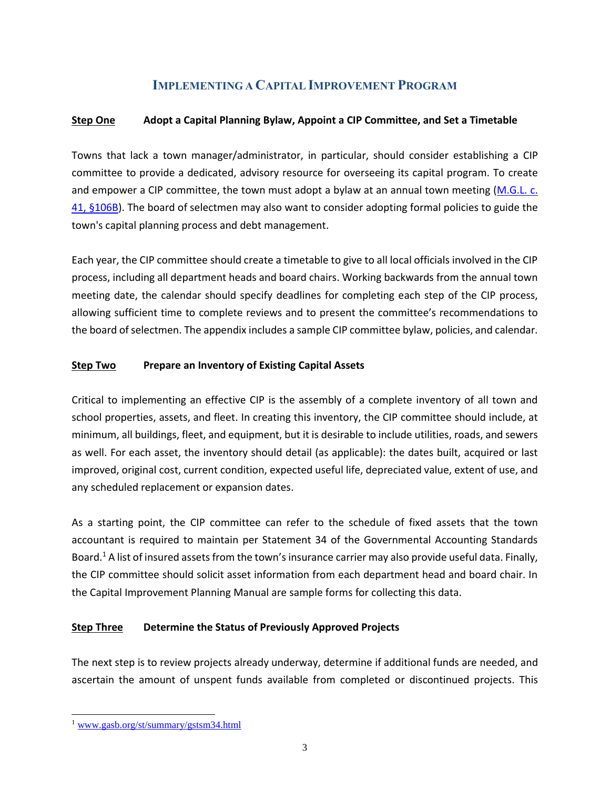## **IMPLEMENTING A CAPITAL IMPROVEMENT PROGRAM**

## **Step One Adopt a Capital Planning Bylaw, Appoint a CIP Committee, and Set a Timetable**

Towns that lack a town manager/administrator, in particular, should consider establishing a CIP committee to provide a dedicated, advisory resource for overseeing its capital program. To create and empower a CIP committee, the town must adopt a bylaw at an annual town meeting [\(M.G.L.](https://malegislature.gov/Laws/GeneralLaws/PartI/TitleVII/Chapter41/Section106B) c. [41, §106B\)](https://malegislature.gov/Laws/GeneralLaws/PartI/TitleVII/Chapter41/Section106B). The board of selectmen may also want to consider adopting formal policies to guide the town's capital planning process and debt management.

Each year, the CIP committee should create a timetable to give to all local officials involved in the CIP process, including all department heads and board chairs. Working backwards from the annual town meeting date, the calendar should specify deadlines for completing each step of the CIP process, allowing sufficient time to complete reviews and to present the committee's recommendations to the board of selectmen. The appendix includes a sample CIP committee bylaw, policies, and calendar.

## **Step Two Prepare an Inventory of Existing Capital Assets**

Critical to implementing an effective CIP is the assembly of a complete inventory of all town and school properties, assets, and fleet. In creating this inventory, the CIP committee should include, at minimum, all buildings, fleet, and equipment, but it is desirable to include utilities, roads, and sewers as well. For each asset, the inventory should detail (as applicable): the dates built, acquired or last improved, original cost, current condition, expected useful life, depreciated value, extent of use, and any scheduled replacement or expansion dates.

As a starting point, the CIP committee can refer to the schedule of fixed assets that the town accountant is required to maintain per Statement 34 of the Governmental Accounting Standards Board.<sup>1</sup> A list of insured assets from the town's insurance carrier may also provide useful data. Finally, the CIP committee should solicit asset information from each department head and board chair. In the Capital Improvement Planning Manual are sample forms for collecting this data.

## **Step Three Determine the Status of Previously Approved Projects**

The next step is to review projects already underway, determine if additional funds are needed, and ascertain the amount of unspent funds available from completed or discontinued projects. This

l

<sup>1</sup> [www.gasb.org/st/summary/gstsm34.html](http://www.gasb.org/st/summary/gstsm34.html)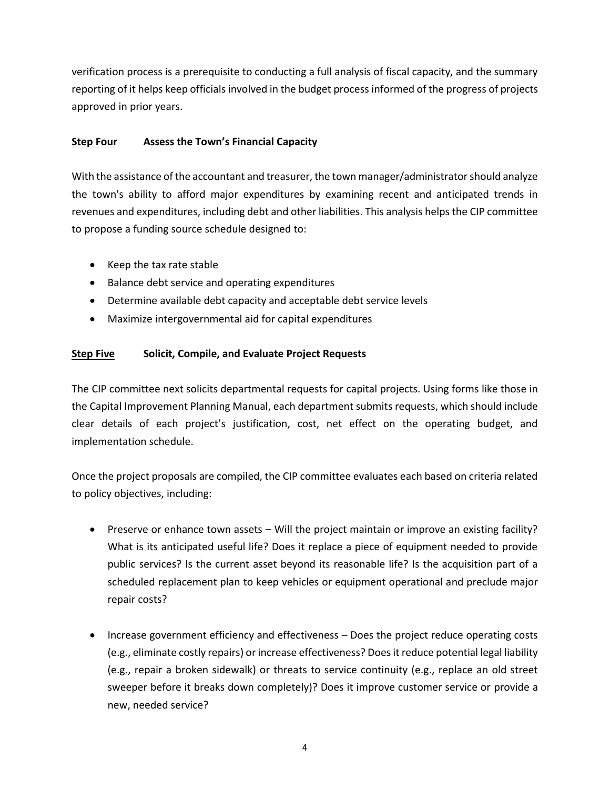verification process is a prerequisite to conducting a full analysis of fiscal capacity, and the summary reporting of it helps keep officials involved in the budget process informed of the progress of projects approved in prior years.

## **Step Four Assess the Town's Financial Capacity**

With the assistance of the accountant and treasurer, the town manager/administrator should analyze the town's ability to afford major expenditures by examining recent and anticipated trends in revenues and expenditures, including debt and other liabilities. This analysis helps the CIP committee to propose a funding source schedule designed to:

- Keep the tax rate stable
- Balance debt service and operating expenditures
- Determine available debt capacity and acceptable debt service levels
- Maximize intergovernmental aid for capital expenditures

## **Step Five Solicit, Compile, and Evaluate Project Requests**

The CIP committee next solicits departmental requests for capital projects. Using forms like those in the Capital Improvement Planning Manual, each department submits requests, which should include clear details of each project's justification, cost, net effect on the operating budget, and implementation schedule.

Once the project proposals are compiled, the CIP committee evaluates each based on criteria related to policy objectives, including:

- Preserve or enhance town assets Will the project maintain or improve an existing facility? What is its anticipated useful life? Does it replace a piece of equipment needed to provide public services? Is the current asset beyond its reasonable life? Is the acquisition part of a scheduled replacement plan to keep vehicles or equipment operational and preclude major repair costs?
- Increase government efficiency and effectiveness Does the project reduce operating costs (e.g., eliminate costly repairs) or increase effectiveness? Does it reduce potential legal liability (e.g., repair a broken sidewalk) or threats to service continuity (e.g., replace an old street sweeper before it breaks down completely)? Does it improve customer service or provide a new, needed service?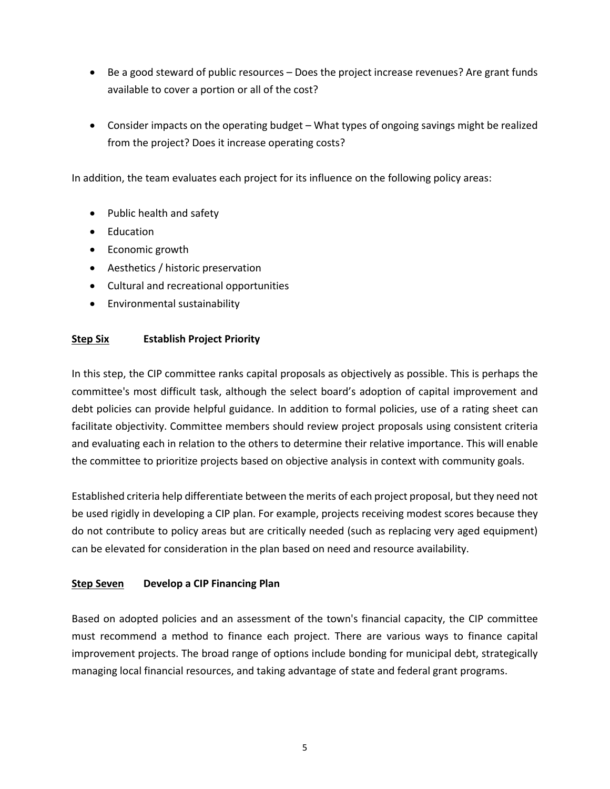- Be a good steward of public resources Does the project increase revenues? Are grant funds available to cover a portion or all of the cost?
- Consider impacts on the operating budget What types of ongoing savings might be realized from the project? Does it increase operating costs?

In addition, the team evaluates each project for its influence on the following policy areas:

- Public health and safety
- Education
- Economic growth
- Aesthetics / historic preservation
- Cultural and recreational opportunities
- Environmental sustainability

#### **Step Six Establish Project Priority**

In this step, the CIP committee ranks capital proposals as objectively as possible. This is perhaps the committee's most difficult task, although the select board's adoption of capital improvement and debt policies can provide helpful guidance. In addition to formal policies, use of a rating sheet can facilitate objectivity. Committee members should review project proposals using consistent criteria and evaluating each in relation to the others to determine their relative importance. This will enable the committee to prioritize projects based on objective analysis in context with community goals.

Established criteria help differentiate between the merits of each project proposal, but they need not be used rigidly in developing a CIP plan. For example, projects receiving modest scores because they do not contribute to policy areas but are critically needed (such as replacing very aged equipment) can be elevated for consideration in the plan based on need and resource availability.

## **Step Seven Develop a CIP Financing Plan**

Based on adopted policies and an assessment of the town's financial capacity, the CIP committee must recommend a method to finance each project. There are various ways to finance capital improvement projects. The broad range of options include bonding for municipal debt, strategically managing local financial resources, and taking advantage of state and federal grant programs.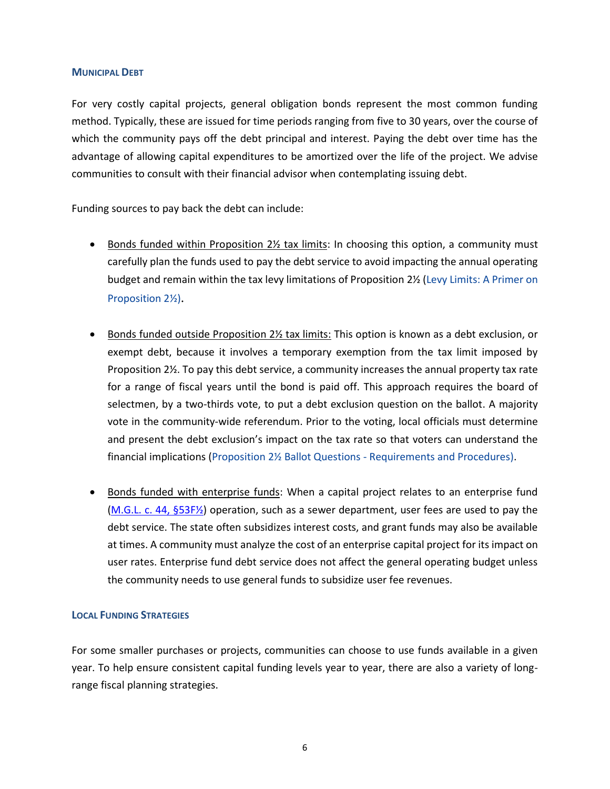#### **MUNICIPAL DEBT**

For very costly capital projects, general obligation bonds represent the most common funding method. Typically, these are issued for time periods ranging from five to 30 years, over the course of which the community pays off the debt principal and interest. Paying the debt over time has the advantage of allowing capital expenditures to be amortized over the life of the project. We advise communities to consult with their financial advisor when contemplating issuing debt.

Funding sources to pay back the debt can include:

- Bonds funded within Proposition 2½ tax limits: In choosing this option, a community must carefully plan the funds used to pay the debt service to avoid impacting the annual operating budget and remain within the tax levy limitations of Proposition 2½ [\(Levy Limits: A Primer on](http://www.mass.gov/dor/docs/dls/publ/misc/levylimits.pdf)  [Proposition 2½\)](http://www.mass.gov/dor/docs/dls/publ/misc/levylimits.pdf).
- Bonds funded outside Proposition 2½ tax limits: This option is known as a debt exclusion, or exempt debt, because it involves a temporary exemption from the tax limit imposed by Proposition 2½. To pay this debt service, a community increases the annual property tax rate for a range of fiscal years until the bond is paid off. This approach requires the board of selectmen, by a two-thirds vote, to put a debt exclusion question on the ballot. A majority vote in the community-wide referendum. Prior to the voting, local officials must determine and present the debt exclusion's impact on the tax rate so that voters can understand the financial implications [\(Proposition 2½ Ballot Questions -](http://www.mass.gov/dor/docs/dls/publ/misc/prop2.pdf) Requirements and Procedure[s\).](http://www.mass.gov/dor/docs/dls/publ/misc/levylimits.pdf)
- Bonds funded with enterprise funds: When a capital project relates to an enterprise fund [\(M.G.L. c. 44, §53F½\)](https://malegislature.gov/Laws/GeneralLaws/Search) operation, such as a sewer department, user fees are used to pay the debt service. The state often subsidizes interest costs, and grant funds may also be available at times. A community must analyze the cost of an enterprise capital project for its impact on user rates. Enterprise fund debt service does not affect the general operating budget unless the community needs to use general funds to subsidize user fee revenues.

#### **LOCAL FUNDING STRATEGIES**

For some smaller purchases or projects, communities can choose to use funds available in a given year. To help ensure consistent capital funding levels year to year, there are also a variety of longrange fiscal planning strategies.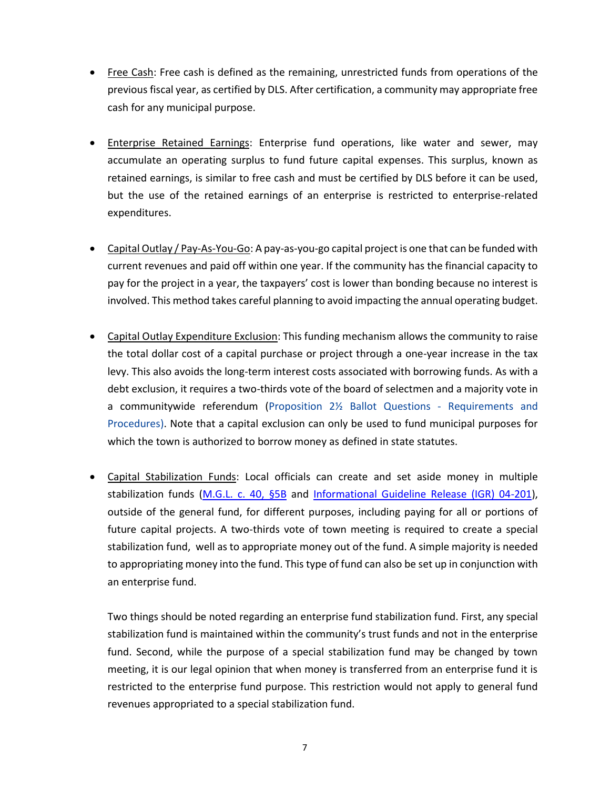- Free Cash: Free cash is defined as the remaining, unrestricted funds from operations of the previous fiscal year, as certified by DLS. After certification, a community may appropriate free cash for any municipal purpose.
- Enterprise Retained Earnings: Enterprise fund operations, like water and sewer, may accumulate an operating surplus to fund future capital expenses. This surplus, known as retained earnings, is similar to free cash and must be certified by DLS before it can be used, but the use of the retained earnings of an enterprise is restricted to enterprise-related expenditures.
- Capital Outlay / Pay-As-You-Go: A pay-as-you-go capital project is one that can be funded with current revenues and paid off within one year. If the community has the financial capacity to pay for the project in a year, the taxpayers' cost is lower than bonding because no interest is involved. This method takes careful planning to avoid impacting the annual operating budget.
- Capital Outlay Expenditure Exclusion: This funding mechanism allows the community to raise the total dollar cost of a capital purchase or project through a one-year increase in the tax levy. This also avoids the long-term interest costs associated with borrowing funds. As with a debt exclusion, it requires a two-thirds vote of the board of selectmen and a majority vote in a communitywide referendum (Proposition 2½ Ballot Questions - [Requirements and](http://www.mass.gov/dor/docs/dls/publ/misc/prop2.pdf)  [Procedures](http://www.mass.gov/dor/docs/dls/publ/misc/prop2.pdf)[\).](http://www.mass.gov/dor/docs/dls/publ/misc/levylimits.pdf) Note that a capital exclusion can only be used to fund municipal purposes for which the town is authorized to borrow money as defined in state statutes.
- Capital Stabilization Funds: Local officials can create and set aside money in multiple stabilization funds [\(M.G.L. c. 40, §5B](https://malegislature.gov/Laws/GeneralLaws/PartI/TitleVII/Chapter40/Section5B) and [Informational Guideline Release \(IGR\) 04-201\)](https://www.mass.gov/media/1578731/download), outside of the general fund, for different purposes, including paying for all or portions of future capital projects. A two-thirds vote of town meeting is required to create a special stabilization fund, well as to appropriate money out of the fund. A simple majority is needed to appropriating money into the fund. This type of fund can also be set up in conjunction with an enterprise fund.

Two things should be noted regarding an enterprise fund stabilization fund. First, any special stabilization fund is maintained within the community's trust funds and not in the enterprise fund. Second, while the purpose of a special stabilization fund may be changed by town meeting, it is our legal opinion that when money is transferred from an enterprise fund it is restricted to the enterprise fund purpose. This restriction would not apply to general fund revenues appropriated to a special stabilization fund.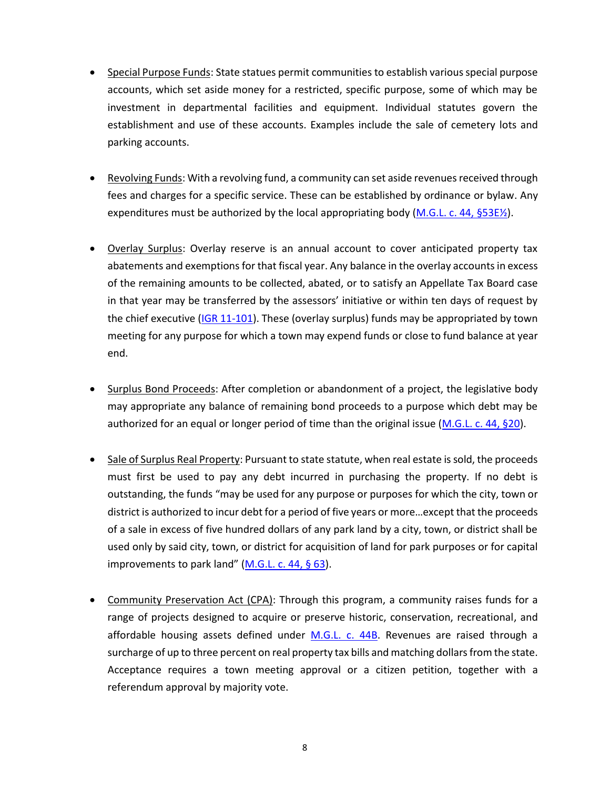- Special Purpose Funds: State statues permit communities to establish various special purpose accounts, which set aside money for a restricted, specific purpose, some of which may be investment in departmental facilities and equipment. Individual statutes govern the establishment and use of these accounts. Examples include the sale of cemetery lots and parking accounts.
- Revolving Funds: With a revolving fund, a community can set aside revenues received through fees and charges for a specific service. These can be established by ordinance or bylaw. Any expenditures must be authorized by the local appropriating body [\(M.G.L. c. 44, §53E½\)](https://malegislature.gov/Laws/GeneralLaws/PartI/TitleVII/Chapter44/Section53E1~2).
- Overlay Surplus: Overlay reserve is an annual account to cover anticipated property tax abatements and exemptions for that fiscal year. Any balance in the overlay accounts in excess of the remaining amounts to be collected, abated, or to satisfy an Appellate Tax Board case in that year may be transferred by the assessors' initiative or within ten days of request by the chief executive [\(IGR 11-101\)](http://www.mass.gov/dor/docs/dls/publ/igr/2011/igr11-101.pdf). These (overlay surplus) funds may be appropriated by town meeting for any purpose for which a town may expend funds or close to fund balance at year end.
- Surplus Bond Proceeds: After completion or abandonment of a project, the legislative body may appropriate any balance of remaining bond proceeds to a purpose which debt may be authorized for an equal or longer period of time than the original issue [\(M.G.L. c. 44, §20\)](https://malegislature.gov/Laws/GeneralLaws/PartI/TitleVII/Chapter44/Section20).
- Sale of Surplus Real Property: Pursuant to state statute, when real estate is sold, the proceeds must first be used to pay any debt incurred in purchasing the property. If no debt is outstanding, the funds "may be used for any purpose or purposes for which the city, town or district is authorized to incur debt for a period of five years or more…except that the proceeds of a sale in excess of five hundred dollars of any park land by a city, town, or district shall be used only by said city, town, or district for acquisition of land for park purposes or for capital improvements to park land"  $(M.G.L.c. 44, § 63)$  $(M.G.L.c. 44, § 63)$ .
- Community Preservation Act (CPA): Through this program, a community raises funds for a range of projects designed to acquire or preserve historic, conservation, recreational, and affordable housing assets defined under M.G.L. [c. 44B.](https://malegislature.gov/Laws/GeneralLaws/PartI/TitleVII/Chapter44B) Revenues are raised through a surcharge of up to three percent on real property tax bills and matching dollars from the state. Acceptance requires a town meeting approval or a citizen petition, together with a referendum approval by majority vote.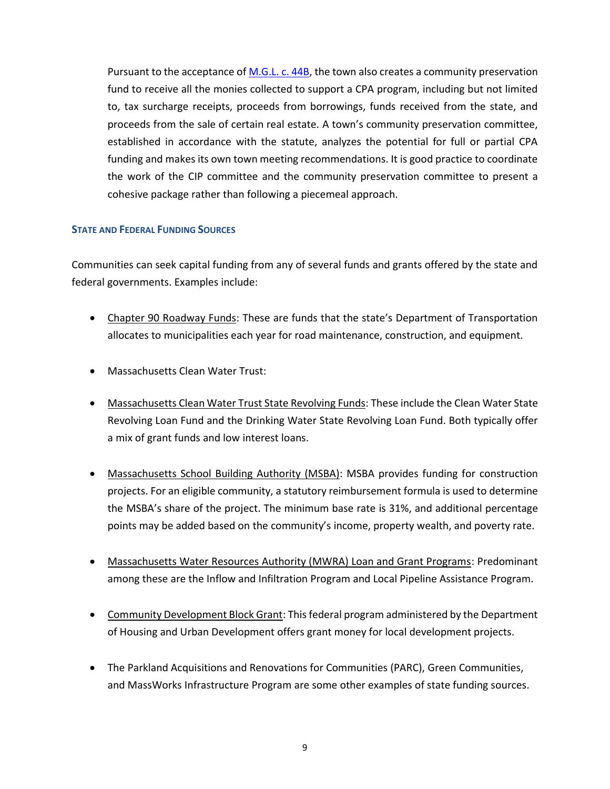Pursuant to the acceptance of [M.G.L. c. 44B,](https://malegislature.gov/Laws/GeneralLaws/PartI/TitleVII/Chapter44B) the town also creates a community preservation fund to receive all the monies collected to support a CPA program, including but not limited to, tax surcharge receipts, proceeds from borrowings, funds received from the state, and proceeds from the sale of certain real estate. A town's community preservation committee, established in accordance with the statute, analyzes the potential for full or partial CPA funding and makes its own town meeting recommendations. It is good practice to coordinate the work of the CIP committee and the community preservation committee to present a cohesive package rather than following a piecemeal approach.

#### **STATE AND FEDERAL FUNDING SOURCES**

Communities can seek capital funding from any of several funds and grants offered by the state and federal governments. Examples include:

- Chapter 90 Roadway Funds: These are funds that the state's Department of Transportation allocates to municipalities each year for road maintenance, construction, and equipment.
- Massachusetts Clean Water Trust:
- Massachusetts Clean Water Trust State Revolving Funds: These include the Clean Water State Revolving Loan Fund and the Drinking Water State Revolving Loan Fund. Both typically offer a mix of grant funds and low interest loans.
- Massachusetts School Building Authority (MSBA): MSBA provides funding for construction projects. For an eligible community, a statutory reimbursement formula is used to determine the MSBA's share of the project. The minimum base rate is 31%, and additional percentage points may be added based on the community's income, property wealth, and poverty rate.
- Massachusetts Water Resources Authority (MWRA) Loan and Grant Programs: Predominant among these are the Inflow and Infiltration Program and Local Pipeline Assistance Program.
- Community Development Block Grant: This federal program administered by the Department of Housing and Urban Development offers grant money for local development projects.
- The Parkland Acquisitions and Renovations for Communities (PARC), Green Communities, and MassWorks Infrastructure Program are some other examples of state funding sources.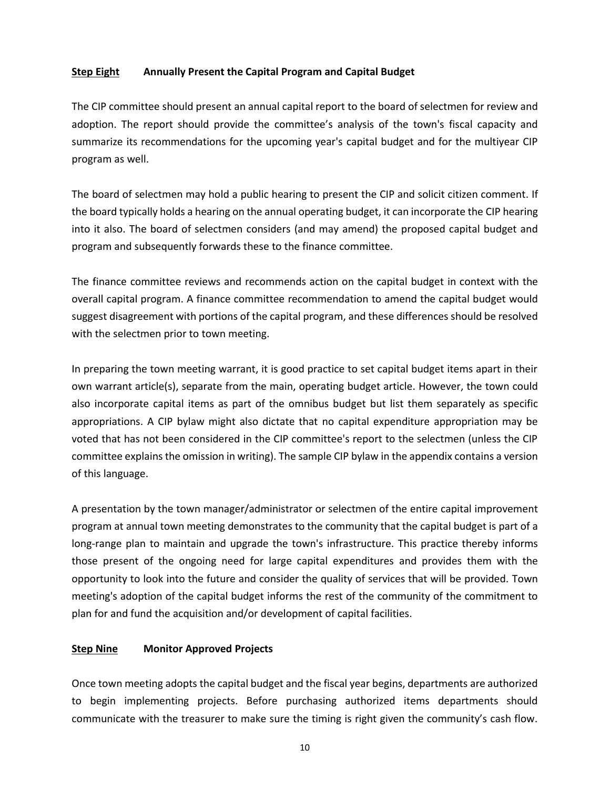#### **Step Eight Annually Present the Capital Program and Capital Budget**

The CIP committee should present an annual capital report to the board of selectmen for review and adoption. The report should provide the committee's analysis of the town's fiscal capacity and summarize its recommendations for the upcoming year's capital budget and for the multiyear CIP program as well.

The board of selectmen may hold a public hearing to present the CIP and solicit citizen comment. If the board typically holds a hearing on the annual operating budget, it can incorporate the CIP hearing into it also. The board of selectmen considers (and may amend) the proposed capital budget and program and subsequently forwards these to the finance committee.

The finance committee reviews and recommends action on the capital budget in context with the overall capital program. A finance committee recommendation to amend the capital budget would suggest disagreement with portions of the capital program, and these differences should be resolved with the selectmen prior to town meeting.

In preparing the town meeting warrant, it is good practice to set capital budget items apart in their own warrant article(s), separate from the main, operating budget article. However, the town could also incorporate capital items as part of the omnibus budget but list them separately as specific appropriations. A CIP bylaw might also dictate that no capital expenditure appropriation may be voted that has not been considered in the CIP committee's report to the selectmen (unless the CIP committee explains the omission in writing). The sample CIP bylaw in the appendix contains a version of this language.

A presentation by the town manager/administrator or selectmen of the entire capital improvement program at annual town meeting demonstrates to the community that the capital budget is part of a long-range plan to maintain and upgrade the town's infrastructure. This practice thereby informs those present of the ongoing need for large capital expenditures and provides them with the opportunity to look into the future and consider the quality of services that will be provided. Town meeting's adoption of the capital budget informs the rest of the community of the commitment to plan for and fund the acquisition and/or development of capital facilities.

#### **Step Nine Monitor Approved Projects**

Once town meeting adopts the capital budget and the fiscal year begins, departments are authorized to begin implementing projects. Before purchasing authorized items departments should communicate with the treasurer to make sure the timing is right given the community's cash flow.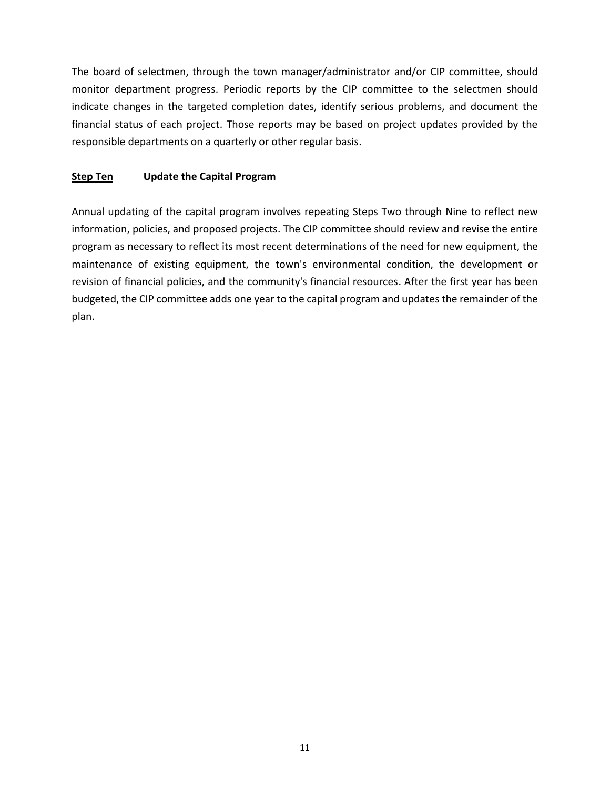The board of selectmen, through the town manager/administrator and/or CIP committee, should monitor department progress. Periodic reports by the CIP committee to the selectmen should indicate changes in the targeted completion dates, identify serious problems, and document the financial status of each project. Those reports may be based on project updates provided by the responsible departments on a quarterly or other regular basis.

## **Step Ten Update the Capital Program**

Annual updating of the capital program involves repeating Steps Two through Nine to reflect new information, policies, and proposed projects. The CIP committee should review and revise the entire program as necessary to reflect its most recent determinations of the need for new equipment, the maintenance of existing equipment, the town's environmental condition, the development or revision of financial policies, and the community's financial resources. After the first year has been budgeted, the CIP committee adds one year to the capital program and updates the remainder of the plan.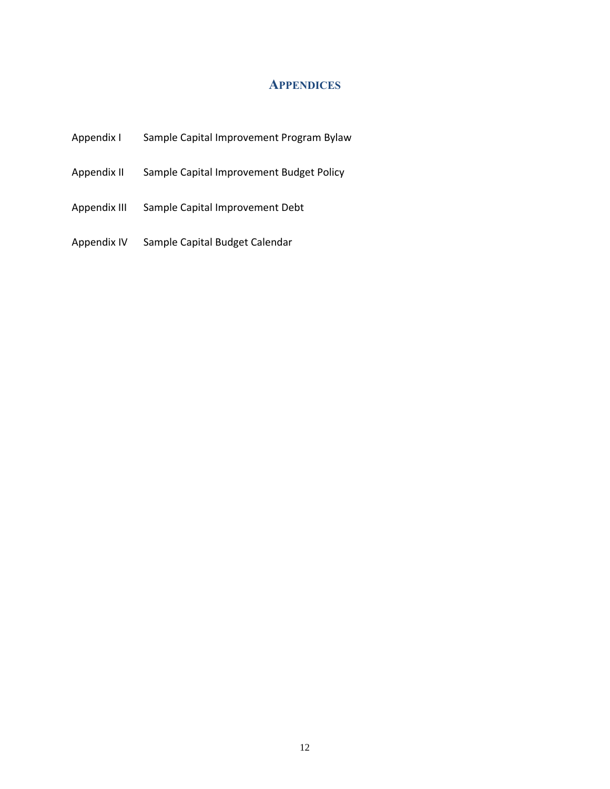## **APPENDICES**

- Appendix I Sample Capital Improvement Program Bylaw
- Appendix II Sample Capital Improvement Budget Policy
- Appendix III Sample Capital Improvement Debt
- Appendix IV Sample Capital Budget Calendar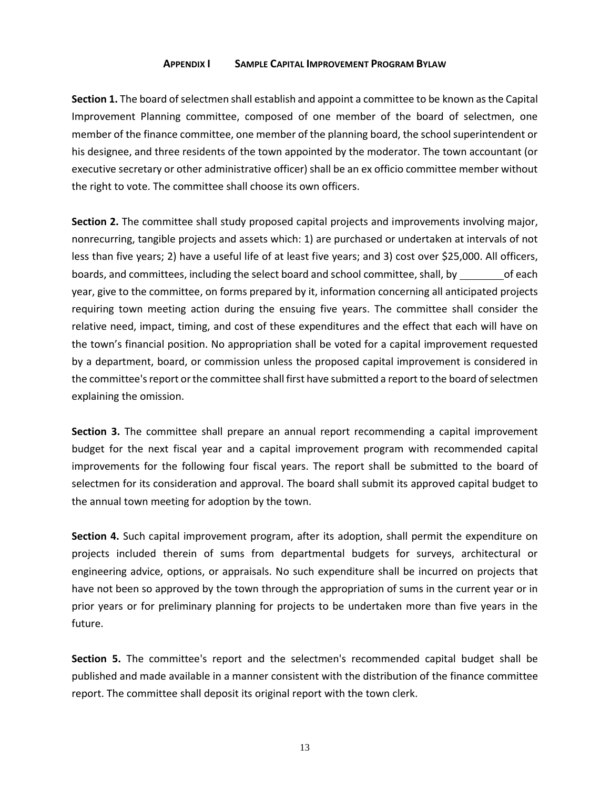#### **APPENDIX I SAMPLE CAPITAL IMPROVEMENT PROGRAM BYLAW**

**Section 1.** The board of selectmen shall establish and appoint a committee to be known as the Capital Improvement Planning committee, composed of one member of the board of selectmen, one member of the finance committee, one member of the planning board, the school superintendent or his designee, and three residents of the town appointed by the moderator. The town accountant (or executive secretary or other administrative officer) shall be an ex officio committee member without the right to vote. The committee shall choose its own officers.

**Section 2.** The committee shall study proposed capital projects and improvements involving major, nonrecurring, tangible projects and assets which: 1) are purchased or undertaken at intervals of not less than five years; 2) have a useful life of at least five years; and 3) cost over \$25,000. All officers, boards, and committees, including the select board and school committee, shall, by of each year, give to the committee, on forms prepared by it, information concerning all anticipated projects requiring town meeting action during the ensuing five years. The committee shall consider the relative need, impact, timing, and cost of these expenditures and the effect that each will have on the town's financial position. No appropriation shall be voted for a capital improvement requested by a department, board, or commission unless the proposed capital improvement is considered in the committee's report orthe committee shall first have submitted a report to the board of selectmen explaining the omission.

**Section 3.** The committee shall prepare an annual report recommending a capital improvement budget for the next fiscal year and a capital improvement program with recommended capital improvements for the following four fiscal years. The report shall be submitted to the board of selectmen for its consideration and approval. The board shall submit its approved capital budget to the annual town meeting for adoption by the town.

**Section 4.** Such capital improvement program, after its adoption, shall permit the expenditure on projects included therein of sums from departmental budgets for surveys, architectural or engineering advice, options, or appraisals. No such expenditure shall be incurred on projects that have not been so approved by the town through the appropriation of sums in the current year or in prior years or for preliminary planning for projects to be undertaken more than five years in the future.

**Section 5.** The committee's report and the selectmen's recommended capital budget shall be published and made available in a manner consistent with the distribution of the finance committee report. The committee shall deposit its original report with the town clerk.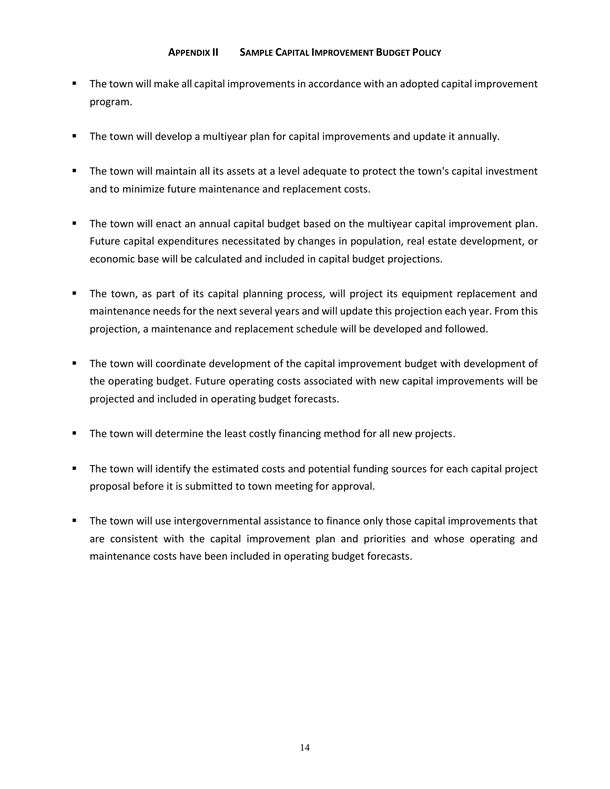#### **APPENDIX II SAMPLE CAPITAL IMPROVEMENT BUDGET POLICY**

- The town will make all capital improvements in accordance with an adopted capital improvement program.
- The town will develop a multiyear plan for capital improvements and update it annually.
- The town will maintain all its assets at a level adequate to protect the town's capital investment and to minimize future maintenance and replacement costs.
- The town will enact an annual capital budget based on the multiyear capital improvement plan. Future capital expenditures necessitated by changes in population, real estate development, or economic base will be calculated and included in capital budget projections.
- The town, as part of its capital planning process, will project its equipment replacement and maintenance needs for the next several years and will update this projection each year. From this projection, a maintenance and replacement schedule will be developed and followed.
- The town will coordinate development of the capital improvement budget with development of the operating budget. Future operating costs associated with new capital improvements will be projected and included in operating budget forecasts.
- The town will determine the least costly financing method for all new projects.
- The town will identify the estimated costs and potential funding sources for each capital project proposal before it is submitted to town meeting for approval.
- **■** The town will use intergovernmental assistance to finance only those capital improvements that are consistent with the capital improvement plan and priorities and whose operating and maintenance costs have been included in operating budget forecasts.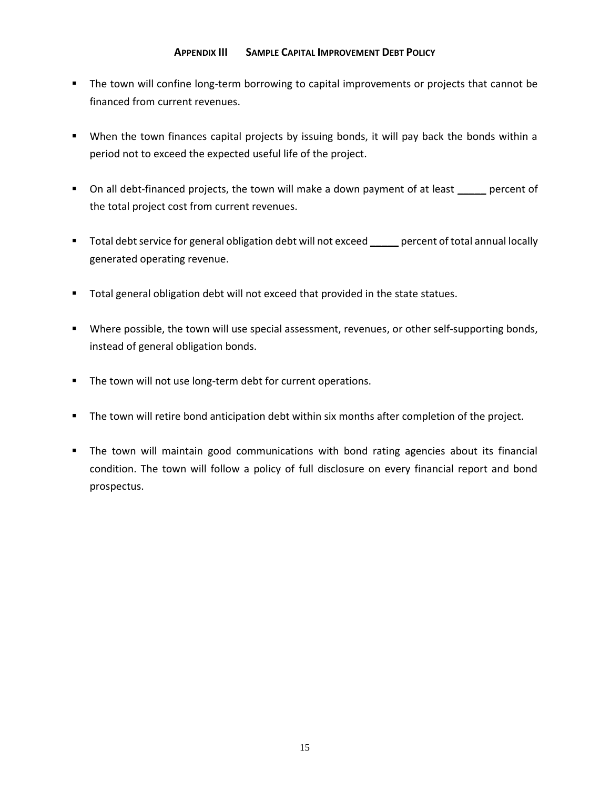#### **APPENDIX III SAMPLE CAPITAL IMPROVEMENT DEBT POLICY**

- The town will confine long-term borrowing to capital improvements or projects that cannot be financed from current revenues.
- When the town finances capital projects by issuing bonds, it will pay back the bonds within a period not to exceed the expected useful life of the project.
- On all debt-financed projects, the town will make a down payment of at least **\_\_\_\_\_** percent of the total project cost from current revenues.
- Total debt service for general obligation debt will not exceed \_\_\_\_\_ percent of total annual locally generated operating revenue.
- Total general obligation debt will not exceed that provided in the state statues.
- Where possible, the town will use special assessment, revenues, or other self-supporting bonds, instead of general obligation bonds.
- The town will not use long-term debt for current operations.
- The town will retire bond anticipation debt within six months after completion of the project.
- The town will maintain good communications with bond rating agencies about its financial condition. The town will follow a policy of full disclosure on every financial report and bond prospectus.